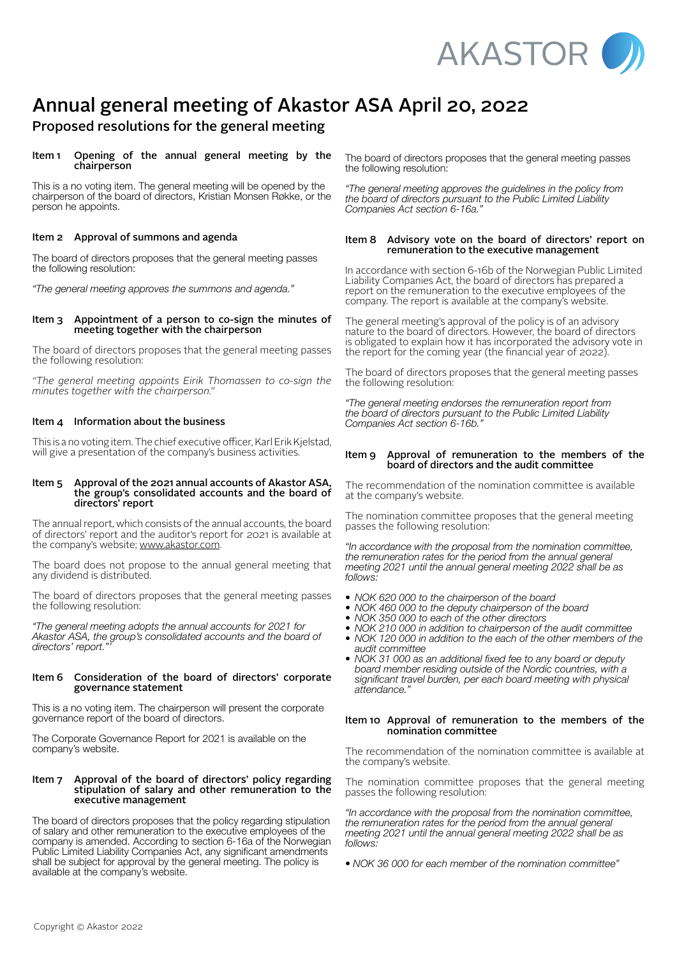

# Annual general meeting of Akastor ASA April 20, 2022

# Proposed resolutions for the general meeting

# Item 1 Opening of the annual general meeting by the chairperson

This is a no voting item. The general meeting will be opened by the chairperson of the board of directors, Kristian Monsen Røkke, or the person he appoints.

# Item 2 Approval of summons and agenda

The board of directors proposes that the general meeting passes the following resolution:

*"The general meeting approves the summons and agenda."*

#### Item 3 Appointment of a person to co-sign the minutes of meeting together with the chairperson

The board of directors proposes that the general meeting passes the following resolution:

*"The general meeting appoints Eirik Thomassen to co-sign the minutes together with the chairperson."*

# Item 4 Information about the business

This is a no voting item. The chief executive officer, Karl Erik Kjelstad, will give a presentation of the company's business activities.

#### Item 5 Approval of the 2021 annual accounts of Akastor ASA, the group's consolidated accounts and the board of directors' report

The annual report, which consists of the annual accounts, the board of directors' report and the auditor's report for 2021 is available at the company's website; [www.akastor.com](http://www.akastor.com).

The board does not propose to the annual general meeting that any dividend is distributed.

The board of directors proposes that the general meeting passes the following resolution:

*"The general meeting adopts the annual accounts for 2021 for Akastor ASA, the group's consolidated accounts and the board of directors' report."'* 

#### Item 6 Consideration of the board of directors' corporate governance statement

This is a no voting item. The chairperson will present the corporate governance report of the board of directors.

The Corporate Governance Report for 2021 is available on the company's website.

#### Item 7 Approval of the board of directors' policy regarding stipulation of salary and other remuneration to the executive management

The board of directors proposes that the policy regarding stipulation of salary and other remuneration to the executive employees of the company is amended. According to section 6-16a of the Norwegian Public Limited Liability Companies Act, any significant amendments shall be subject for approval by the general meeting. The policy is available at the company's website.

The board of directors proposes that the general meeting passes the following resolution:

*"The general meeting approves the guidelines in the policy from the board of directors pursuant to the Public Limited Liability Companies Act section 6-16a."*

### Item 8 Advisory vote on the board of directors' report on remuneration to the executive management

In accordance with section 6-16b of the Norwegian Public Limited Liability Companies Act, the board of directors has prepared a report on the remuneration to the executive employees of the company. The report is available at the company's website.

The general meeting's approval of the policy is of an advisory nature to the board of directors. However, the board of directors is obligated to explain how it has incorporated the advisory vote in the report for the coming year (the financial year of 2022).

The board of directors proposes that the general meeting passes the following resolution:

*"The general meeting endorses the remuneration report from the board of directors pursuant to the Public Limited Liability Companies Act section 6-16b."*

#### Item 9 Approval of remuneration to the members of the board of directors and the audit committee

The recommendation of the nomination committee is available at the company's website.

The nomination committee proposes that the general meeting passes the following resolution:

*"In accordance with the proposal from the nomination committee, the remuneration rates for the period from the annual general meeting 2021 until the annual general meeting 2022 shall be as follows:* 

- *• NOK 620 000 to the chairperson of the board*
- *• NOK 460 000 to the deputy chairperson of the board*
- *• NOK 350 000 to each of the other directors*
- *• NOK 210 000 in addition to chairperson of the audit committee*
- *• NOK 120 000 in addition to the each of the other members of the audit committee*
- *• NOK 31 000 as an additional fixed fee to any board or deputy board member residing outside of the Nordic countries, with a significant travel burden, per each board meeting with physical attendance."*

#### Item 10 Approval of remuneration to the members of the nomination committee

The recommendation of the nomination committee is available at the company's website.

The nomination committee proposes that the general meeting passes the following resolution:

*"In accordance with the proposal from the nomination committee, the remuneration rates for the period from the annual general meeting 2021 until the annual general meeting 2022 shall be as follows:* 

*• NOK 36 000 for each member of the nomination committee"*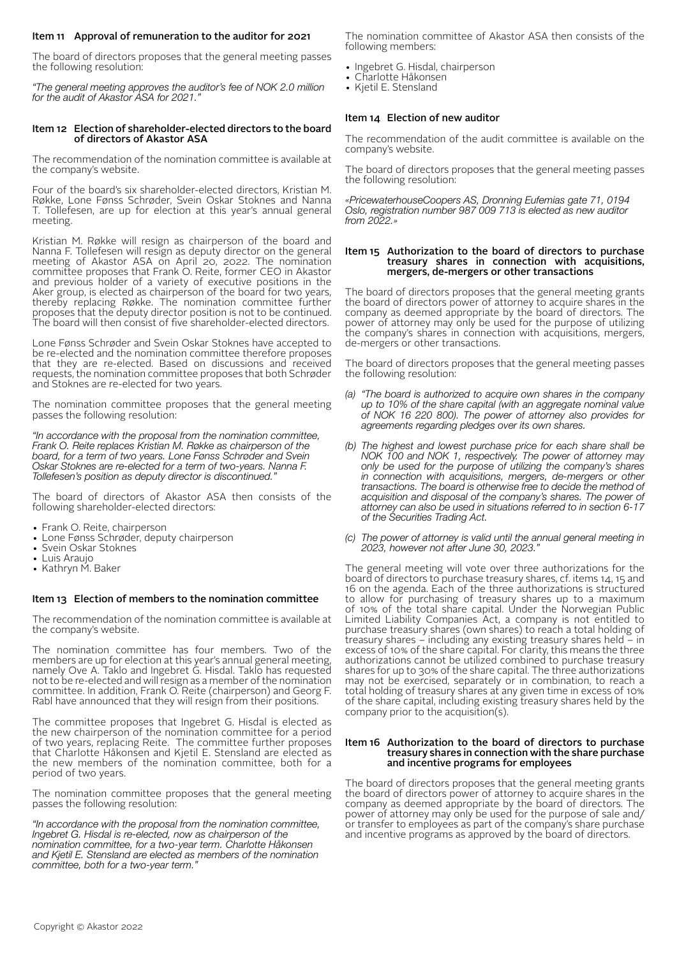# Item 11 Approval of remuneration to the auditor for 2021

The board of directors proposes that the general meeting passes the following resolution:

*"The general meeting approves the auditor's fee of NOK 2.0 million for the audit of Akastor ASA for 2021."* 

#### Item 12 Election of shareholder-elected directors to the board of directors of Akastor ASA

The recommendation of the nomination committee is available at the company's website.

Four of the board's six shareholder-elected directors, Kristian M. Røkke, Lone Fønss Schrøder, Svein Oskar Stoknes and Nanna T. Tollefesen, are up for election at this year's annual general meeting.

Kristian M. Røkke will resign as chairperson of the board and Nanna F. Tollefesen will resign as deputy director on the general meeting of Akastor ASA on April 20, 2022. The nomination committee proposes that Frank O. Reite, former CEO in Akastor and previous holder of a variety of executive positions in the Aker group, is elected as chairperson of the board for two years, thereby replacing Røkke. The nomination committee further proposes that the deputy director position is not to be continued. The board will then consist of five shareholder-elected directors.

Lone Fønss Schrøder and Svein Oskar Stoknes have accepted to be re-elected and the nomination committee therefore proposes that they are re-elected. Based on discussions and received requests, the nomination committee proposes that both Schrøder and Stoknes are re-elected for two years.

The nomination committee proposes that the general meeting passes the following resolution:

*"In accordance with the proposal from the nomination committee, Frank O. Reite replaces Kristian M. Røkke as chairperson of the board, for a term of two years. Lone Fønss Schrøder and Svein Oskar Stoknes are re-elected for a term of two-years. Nanna F. Tollefesen's position as deputy director is discontinued."* 

The board of directors of Akastor ASA then consists of the following shareholder-elected directors:

- Frank O. Reite, chairperson
- Lone Fønss Schrøder, deputy chairperson
- Svein Oskar Stoknes
- Luis Araujo
- Kathryn M. Baker

#### Item 13 Election of members to the nomination committee

The recommendation of the nomination committee is available at the company's website.

The nomination committee has four members. Two of the members are up for election at this year's annual general meeting, namely Ove A. Taklo and Ingebret G. Hisdal. Taklo has requested not to be re-elected and will resign as a member of the nomination committee. In addition, Frank O. Reite (chairperson) and Georg F. Rabl have announced that they will resign from their positions.

The committee proposes that Ingebret G. Hisdal is elected as the new chairperson of the nomination committee for a period of two years, replacing Reite. The committee further proposes that Charlotte Håkonsen and Kjetil E. Stensland are elected as the new members of the nomination committee, both for a period of two years.

The nomination committee proposes that the general meeting passes the following resolution:

*"In accordance with the proposal from the nomination committee, Ingebret G. Hisdal is re-elected, now as chairperson of the nomination committee, for a two-year term. Charlotte Håkonsen and Kjetil E. Stensland are elected as members of the nomination committee, both for a two-year term."* 

The nomination committee of Akastor ASA then consists of the following members:

- Ingebret G. Hisdal, chairperson
- Charlotte Håkonsen
- Kjetil E. Stensland

#### Item 14 Election of new auditor

The recommendation of the audit committee is available on the company's website.

The board of directors proposes that the general meeting passes the following resolution:

*«PricewaterhouseCoopers AS, Dronning Eufemias gate 71, 0194 Oslo, registration number 987 009 713 is elected as new auditor from 2022.»*

#### Item 15 Authorization to the board of directors to purchase treasury shares in connection with acquisitions, mergers, de-mergers or other transactions

The board of directors proposes that the general meeting grants the board of directors power of attorney to acquire shares in the company as deemed appropriate by the board of directors. The power of attorney may only be used for the purpose of utilizing the company's shares in connection with acquisitions, mergers, de-mergers or other transactions.

The board of directors proposes that the general meeting passes the following resolution:

- *(a) "The board is authorized to acquire own shares in the company up to 10% of the share capital (with an aggregate nominal value of NOK 16 220 800). The power of attorney also provides for agreements regarding pledges over its own shares.*
- *(b) The highest and lowest purchase price for each share shall be NOK 100 and NOK 1, respectively. The power of attorney may only be used for the purpose of utilizing the company's shares in connection with acquisitions, mergers, de-mergers or other transactions. The board is otherwise free to decide the method of acquisition and disposal of the company's shares. The power of attorney can also be used in situations referred to in section 6-17 of the Securities Trading Act.*
- *(c) The power of attorney is valid until the annual general meeting in 2023, however not after June 30, 2023."*

The general meeting will vote over three authorizations for the board of directors to purchase treasury shares, cf. items 14, 15 and 16 on the agenda. Each of the three authorizations is structured to allow for purchasing of treasury shares up to a maximum of 10% of the total share capital. Under the Norwegian Public Limited Liability Companies Act, a company is not entitled to purchase treasury shares (own shares) to reach a total holding of treasury shares – including any existing treasury shares held – in excess of 10% of the share capital. For clarity, this means the three authorizations cannot be utilized combined to purchase treasury shares for up to 30% of the share capital. The three authorizations may not be exercised, separately or in combination, to reach a total holding of treasury shares at any given time in excess of 10% of the share capital, including existing treasury shares held by the company prior to the acquisition(s).

#### Item 16 Authorization to the board of directors to purchase treasury shares in connection with the share purchase and incentive programs for employees

The board of directors proposes that the general meeting grants the board of directors power of attorney to acquire shares in the company as deemed appropriate by the board of directors. The power of attorney may only be used for the purpose of sale and/ or transfer to employees as part of the company's share purchase and incentive programs as approved by the board of directors.